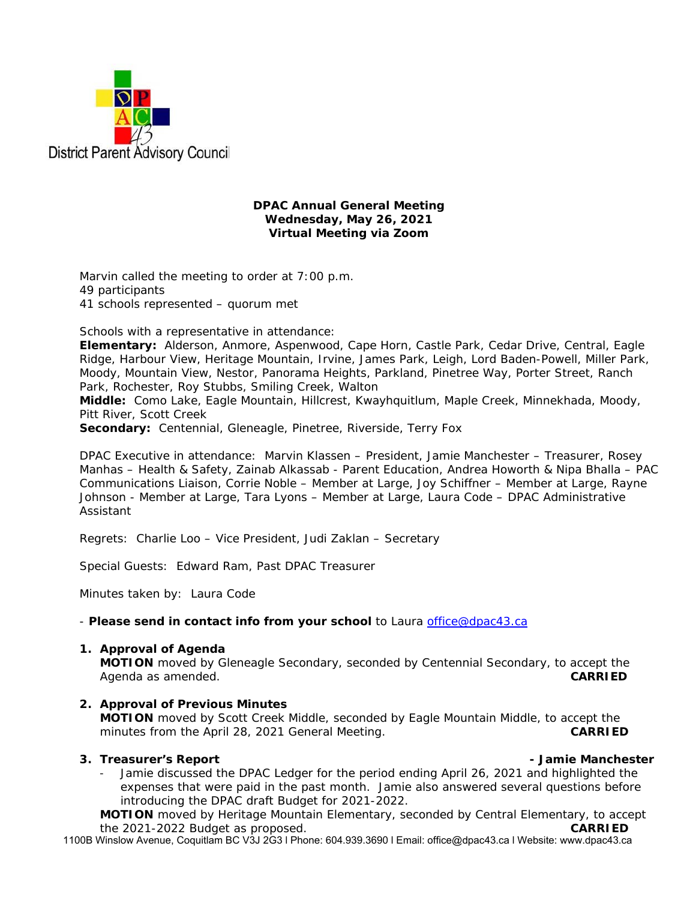

### **DPAC Annual General Meeting Wednesday, May 26, 2021 Virtual Meeting via Zoom**

Marvin called the meeting to order at 7:00 p.m. 49 participants 41 schools represented – quorum met

Schools with a representative in attendance:

**Elementary:** Alderson, Anmore, Aspenwood, Cape Horn, Castle Park, Cedar Drive, Central, Eagle Ridge, Harbour View, Heritage Mountain, Irvine, James Park, Leigh, Lord Baden-Powell, Miller Park, Moody, Mountain View, Nestor, Panorama Heights, Parkland, Pinetree Way, Porter Street, Ranch Park, Rochester, Roy Stubbs, Smiling Creek, Walton

**Middle:** Como Lake, Eagle Mountain, Hillcrest, Kwayhquitlum, Maple Creek, Minnekhada, Moody, Pitt River, Scott Creek

**Secondary:** Centennial, Gleneagle, Pinetree, Riverside, Terry Fox

DPAC Executive in attendance: Marvin Klassen – President, Jamie Manchester – Treasurer, Rosey Manhas – Health & Safety, Zainab Alkassab - Parent Education, Andrea Howorth & Nipa Bhalla – PAC Communications Liaison, Corrie Noble – Member at Large, Joy Schiffner – Member at Large, Rayne Johnson - Member at Large, Tara Lyons – Member at Large, Laura Code – DPAC Administrative Assistant

Regrets: Charlie Loo – Vice President, Judi Zaklan – Secretary

Special Guests: Edward Ram, Past DPAC Treasurer

Minutes taken by: Laura Code

- *Please send in contact info from your school* to Laura office@dpac43.ca

### **1. Approval of Agenda**

**MOTION** moved by *Gleneagle Secondary*, seconded by *Centennial Secondary,* to accept the Agenda as amended. **CARRIED** 

**2. Approval of Previous Minutes MOTION** moved by *Scott Creek Middle*, seconded by *Eagle Mountain Middle*, to accept the minutes from the April 28, 2021 General Meeting. **CARRIED** 

### **3. Treasurer's Report - Jamie Manchester**

Jamie discussed the DPAC Ledger for the period ending April 26, 2021 and highlighted the expenses that were paid in the past month. Jamie also answered several questions before introducing the DPAC draft Budget for 2021-2022.

**MOTION** moved by *Heritage Mountain Elementary*, seconded by *Central Elementary*, to accept the 2021-2022 Budget as proposed. **CARRIED**

1100B Winslow Avenue, Coquitlam BC V3J 2G3 l Phone: 604.939.3690 l Email: office@dpac43.ca l Website: www.dpac43.ca